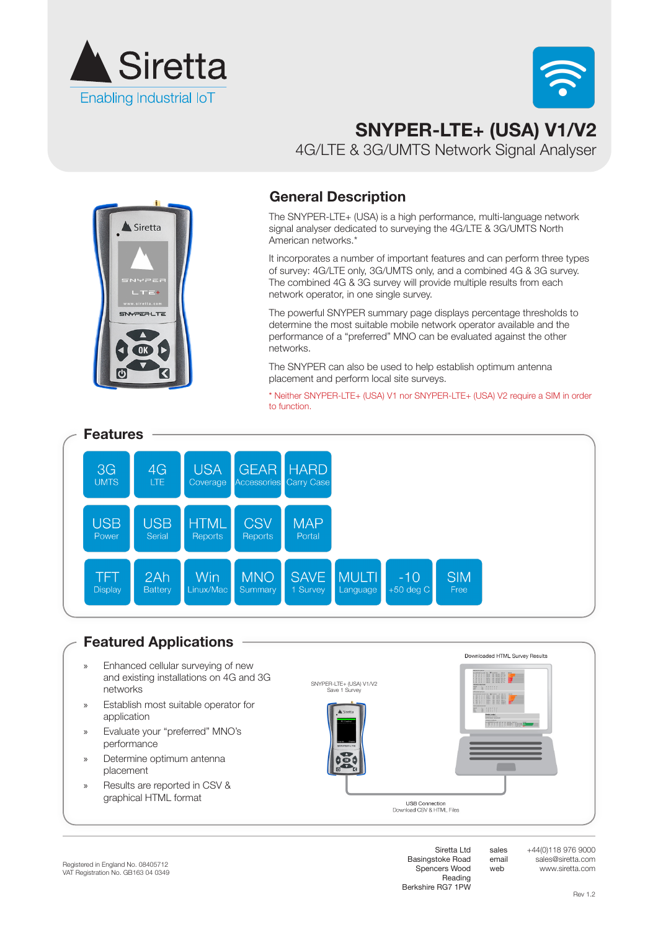



# **SNYPER-LTE+ (USA) V1/V2** 4G/LTE & 3G/UMTS Network Signal Analyser



#### **General Description**

The SNYPER-LTE+ (USA) is a high performance, multi-language network signal analyser dedicated to surveying the 4G/LTE & 3G/UMTS North American networks.\*

It incorporates a number of important features and can perform three types of survey: 4G/LTE only, 3G/UMTS only, and a combined 4G & 3G survey. The combined 4G & 3G survey will provide multiple results from each network operator, in one single survey.

The powerful SNYPER summary page displays percentage thresholds to determine the most suitable mobile network operator available and the performance of a "preferred" MNO can be evaluated against the other networks.

The SNYPER can also be used to help establish optimum antenna placement and perform local site surveys.

\* Neither SNYPER-LTE+ (USA) V1 nor SNYPER-LTE+ (USA) V2 require a SIM in order to function.



#### **Featured Applications**

- » Enhanced cellular surveying of new and existing installations on 4G and 3G networks
- » Establish most suitable operator for application
- » Evaluate your "preferred" MNO's performance
- » Determine optimum antenna placement
- » Results are reported in CSV & graphical HTML format





Downloaded HTML Survey Results

sales email web

Siretta Ltd Basingstoke Road Spencers Wood Reading Berkshire RG7 1PW

**USB Connection**<br>nload CSV & HTML Files

 $Dov$ 

+44(0)118 976 9000 sales@siretta.com www.siretta.com